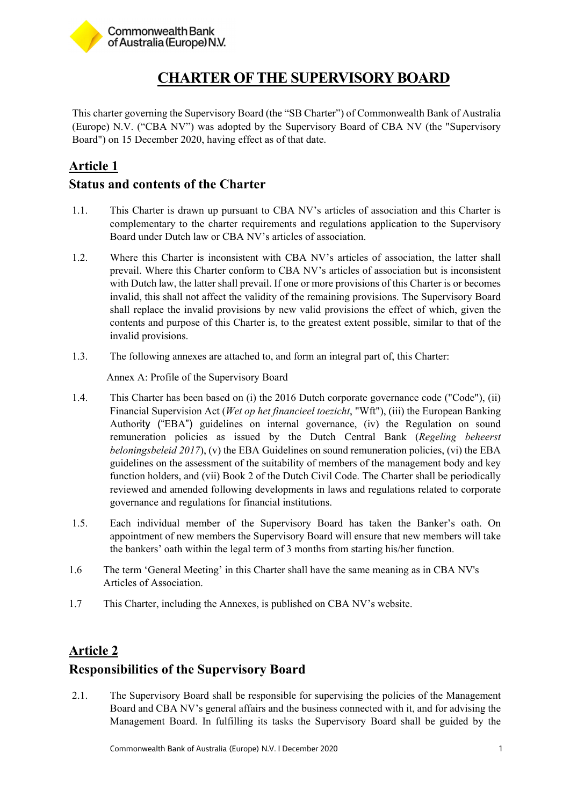

# **CHARTER OF THE SUPERVISORY BOARD**

This charter governing the Supervisory Board (the "SB Charter") of Commonwealth Bank of Australia (Europe) N.V. ("CBA NV") was adopted by the Supervisory Board of CBA NV (the "Supervisory Board") on 15 December 2020, having effect as of that date.

# **Article 1**

#### **Status and contents of the Charter**

- 1.1. This Charter is drawn up pursuant to CBA NV's articles of association and this Charter is complementary to the charter requirements and regulations application to the Supervisory Board under Dutch law or CBA NV's articles of association.
- 1.2. Where this Charter is inconsistent with CBA NV's articles of association, the latter shall prevail. Where this Charter conform to CBA NV's articles of association but is inconsistent with Dutch law, the latter shall prevail. If one or more provisions of this Charter is or becomes invalid, this shall not affect the validity of the remaining provisions. The Supervisory Board shall replace the invalid provisions by new valid provisions the effect of which, given the contents and purpose of this Charter is, to the greatest extent possible, similar to that of the invalid provisions.
- 1.3. The following annexes are attached to, and form an integral part of, this Charter:

Annex A: Profile of the Supervisory Board

- 1.4. This Charter has been based on (i) the 2016 Dutch corporate governance code ("Code"), (ii) Financial Supervision Act (*Wet op het financieel toezicht*, "Wft"), (iii) the European Banking Authority ("EBA") guidelines on internal governance, (iv) the Regulation on sound remuneration policies as issued by the Dutch Central Bank (*Regeling beheerst beloningsbeleid 2017*), (v) the EBA Guidelines on sound remuneration policies, (vi) the EBA guidelines on the assessment of the suitability of members of the management body and key function holders, and (vii) Book 2 of the Dutch Civil Code. The Charter shall be periodically reviewed and amended following developments in laws and regulations related to corporate governance and regulations for financial institutions.
- 1.5. Each individual member of the Supervisory Board has taken the Banker's oath. On appointment of new members the Supervisory Board will ensure that new members will take the bankers' oath within the legal term of 3 months from starting his/her function.
- 1.6 The term 'General Meeting' in this Charter shall have the same meaning as in CBA NV's Articles of Association.
- 1.7 This Charter, including the Annexes, is published on CBA NV's website.

### **Article 2**

### **Responsibilities of the Supervisory Board**

2.1. The Supervisory Board shall be responsible for supervising the policies of the Management Board and CBA NV's general affairs and the business connected with it, and for advising the Management Board. In fulfilling its tasks the Supervisory Board shall be guided by the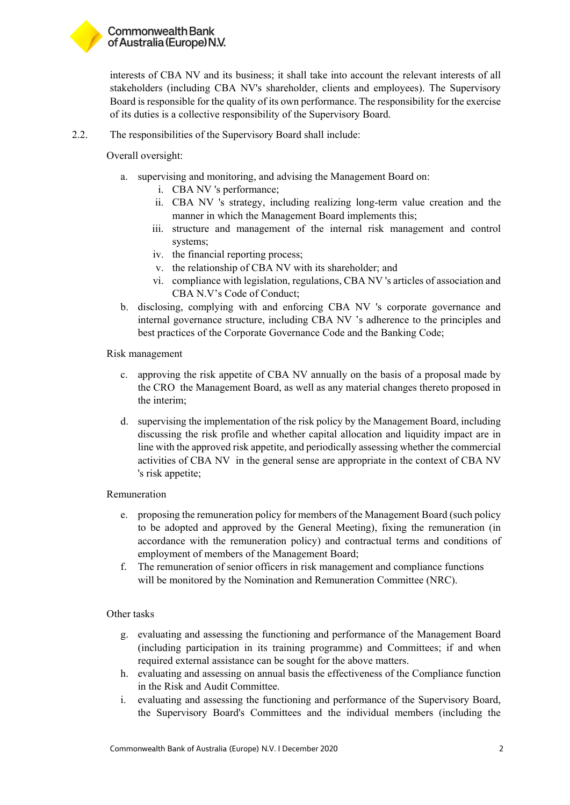

interests of CBA NV and its business; it shall take into account the relevant interests of all stakeholders (including CBA NV's shareholder, clients and employees). The Supervisory Board is responsible for the quality of its own performance. The responsibility for the exercise of its duties is a collective responsibility of the Supervisory Board.

2.2. The responsibilities of the Supervisory Board shall include:

Overall oversight:

- a. supervising and monitoring, and advising the Management Board on:
	- i. CBA NV 's performance;
	- ii. CBA NV 's strategy, including realizing long-term value creation and the manner in which the Management Board implements this;
	- iii. structure and management of the internal risk management and control systems;
	- iv. the financial reporting process;
	- v. the relationship of CBA NV with its shareholder; and
	- vi. compliance with legislation, regulations, CBA NV 's articles of association and CBA N.V's Code of Conduct;
- b. disclosing, complying with and enforcing CBA NV 's corporate governance and internal governance structure, including CBA NV 's adherence to the principles and best practices of the Corporate Governance Code and the Banking Code;

Risk management

- c. approving the risk appetite of CBA NV annually on the basis of a proposal made by the CRO the Management Board, as well as any material changes thereto proposed in the interim;
- d. supervising the implementation of the risk policy by the Management Board, including discussing the risk profile and whether capital allocation and liquidity impact are in line with the approved risk appetite, and periodically assessing whether the commercial activities of CBA NV in the general sense are appropriate in the context of CBA NV 's risk appetite;

Remuneration

- e. proposing the remuneration policy for members of the Management Board (such policy to be adopted and approved by the General Meeting), fixing the remuneration (in accordance with the remuneration policy) and contractual terms and conditions of employment of members of the Management Board;
- f. The remuneration of senior officers in risk management and compliance functions will be monitored by the Nomination and Remuneration Committee (NRC).

#### Other tasks

- g. evaluating and assessing the functioning and performance of the Management Board (including participation in its training programme) and Committees; if and when required external assistance can be sought for the above matters.
- h. evaluating and assessing on annual basis the effectiveness of the Compliance function in the Risk and Audit Committee.
- i. evaluating and assessing the functioning and performance of the Supervisory Board, the Supervisory Board's Committees and the individual members (including the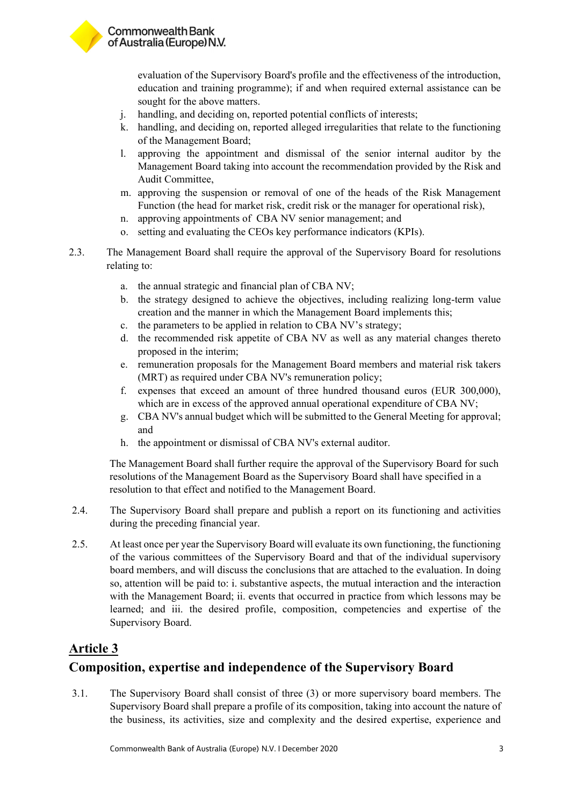

evaluation of the Supervisory Board's profile and the effectiveness of the introduction, education and training programme); if and when required external assistance can be sought for the above matters.

- j. handling, and deciding on, reported potential conflicts of interests;
- k. handling, and deciding on, reported alleged irregularities that relate to the functioning of the Management Board;
- l. approving the appointment and dismissal of the senior internal auditor by the Management Board taking into account the recommendation provided by the Risk and Audit Committee,
- m. approving the suspension or removal of one of the heads of the Risk Management Function (the head for market risk, credit risk or the manager for operational risk),
- n. approving appointments of CBA NV senior management; and
- o. setting and evaluating the CEOs key performance indicators (KPIs).
- 2.3. The Management Board shall require the approval of the Supervisory Board for resolutions relating to:
	- a. the annual strategic and financial plan of CBA NV;
	- b. the strategy designed to achieve the objectives, including realizing long-term value creation and the manner in which the Management Board implements this;
	- c. the parameters to be applied in relation to CBA NV's strategy;
	- d. the recommended risk appetite of CBA NV as well as any material changes thereto proposed in the interim;
	- e. remuneration proposals for the Management Board members and material risk takers (MRT) as required under CBA NV's remuneration policy;
	- f. expenses that exceed an amount of three hundred thousand euros (EUR 300,000), which are in excess of the approved annual operational expenditure of CBA NV;
	- g. CBA NV's annual budget which will be submitted to the General Meeting for approval; and
	- h. the appointment or dismissal of CBA NV's external auditor.

The Management Board shall further require the approval of the Supervisory Board for such resolutions of the Management Board as the Supervisory Board shall have specified in a resolution to that effect and notified to the Management Board.

- 2.4. The Supervisory Board shall prepare and publish a report on its functioning and activities during the preceding financial year.
- 2.5. At least once per year the Supervisory Board will evaluate its own functioning, the functioning of the various committees of the Supervisory Board and that of the individual supervisory board members, and will discuss the conclusions that are attached to the evaluation. In doing so, attention will be paid to: i. substantive aspects, the mutual interaction and the interaction with the Management Board; ii. events that occurred in practice from which lessons may be learned; and iii. the desired profile, composition, competencies and expertise of the Supervisory Board.

#### **Article 3**

### **Composition, expertise and independence of the Supervisory Board**

3.1. The Supervisory Board shall consist of three (3) or more supervisory board members. The Supervisory Board shall prepare a profile of its composition, taking into account the nature of the business, its activities, size and complexity and the desired expertise, experience and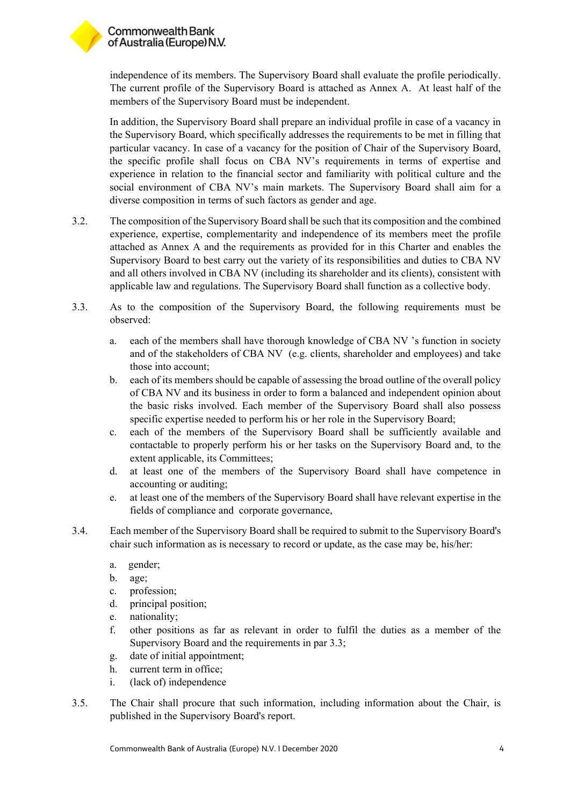

independence of its members. The Supervisory Board shall evaluate the profile periodically. The current profile of the Supervisory Board is attached as Annex A. At least half of the members of the Supervisory Board must be independent.

In addition, the Supervisory Board shall prepare an individual profile in case of a vacancy in the Supervisory Board, which specifically addresses the requirements to be met in filling that particular vacancy. In case of a vacancy for the position of Chair of the Supervisory Board, the specific profile shall focus on CBA NV's requirements in terms of expertise and experience in relation to the financial sector and familiarity with political culture and the social environment of CBA NV's main markets. The Supervisory Board shall aim for a diverse composition in terms of such factors as gender and age.

- 3.2. The composition of the Supervisory Board shall be such that its composition and the combined experience, expertise, complementarity and independence of its members meet the profile attached as Annex A and the requirements as provided for in this Charter and enables the Supervisory Board to best carry out the variety of its responsibilities and duties to CBA NV and all others involved in CBA NV (including its shareholder and its clients), consistent with applicable law and regulations. The Supervisory Board shall function as a collective body.
- 3.3. As to the composition of the Supervisory Board, the following requirements must be observed:
	- a. each of the members shall have thorough knowledge of CBA NV 's function in society and of the stakeholders of CBA NV (e.g. clients, shareholder and employees) and take those into account;
	- b. each of its members should be capable of assessing the broad outline of the overall policy of CBA NV and its business in order to form a balanced and independent opinion about the basic risks involved. Each member of the Supervisory Board shall also possess specific expertise needed to perform his or her role in the Supervisory Board;
	- c. each of the members of the Supervisory Board shall be sufficiently available and contactable to properly perform his or her tasks on the Supervisory Board and, to the extent applicable, its Committees;
	- d. at least one of the members of the Supervisory Board shall have competence in accounting or auditing;
	- e. at least one of the members of the Supervisory Board shall have relevant expertise in the fields of compliance and corporate governance,
- 3.4. Each member of the Supervisory Board shall be required to submit to the Supervisory Board's chair such information as is necessary to record or update, as the case may be, his/her:
	- a. gender;
	- b. age;
	- c. profession;
	- d. principal position;
	- e. nationality;
	- f. other positions as far as relevant in order to fulfil the duties as a member of the Supervisory Board and the requirements in par 3.3;
	- g. date of initial appointment;
	- h. current term in office;
	- i. (lack of) independence
- 3.5. The Chair shall procure that such information, including information about the Chair, is published in the Supervisory Board's report.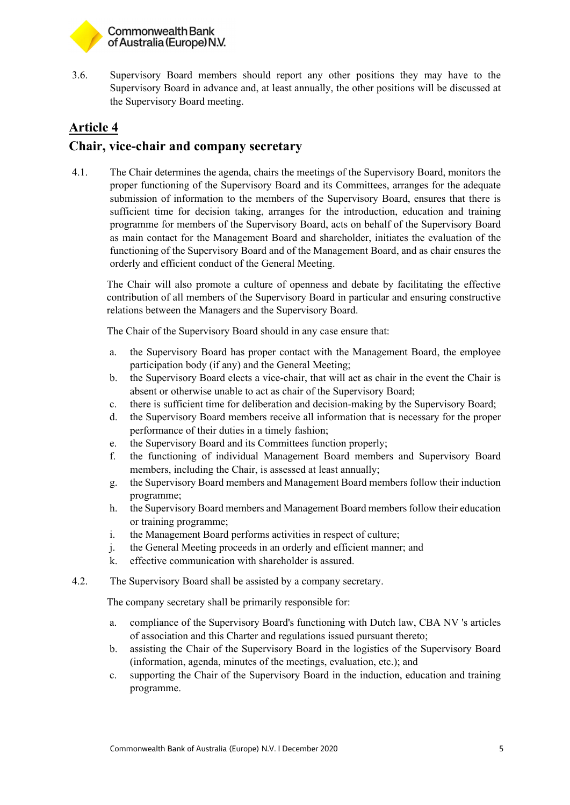

3.6. Supervisory Board members should report any other positions they may have to the Supervisory Board in advance and, at least annually, the other positions will be discussed at the Supervisory Board meeting.

# **Article 4 Chair, vice-chair and company secretary**

4.1. The Chair determines the agenda, chairs the meetings of the Supervisory Board, monitors the proper functioning of the Supervisory Board and its Committees, arranges for the adequate submission of information to the members of the Supervisory Board, ensures that there is sufficient time for decision taking, arranges for the introduction, education and training programme for members of the Supervisory Board, acts on behalf of the Supervisory Board as main contact for the Management Board and shareholder, initiates the evaluation of the functioning of the Supervisory Board and of the Management Board, and as chair ensures the orderly and efficient conduct of the General Meeting.

The Chair will also promote a culture of openness and debate by facilitating the effective contribution of all members of the Supervisory Board in particular and ensuring constructive relations between the Managers and the Supervisory Board.

The Chair of the Supervisory Board should in any case ensure that:

- a. the Supervisory Board has proper contact with the Management Board, the employee participation body (if any) and the General Meeting;
- b. the Supervisory Board elects a vice-chair, that will act as chair in the event the Chair is absent or otherwise unable to act as chair of the Supervisory Board;
- c. there is sufficient time for deliberation and decision-making by the Supervisory Board;
- d. the Supervisory Board members receive all information that is necessary for the proper performance of their duties in a timely fashion;
- e. the Supervisory Board and its Committees function properly;
- f. the functioning of individual Management Board members and Supervisory Board members, including the Chair, is assessed at least annually;
- g. the Supervisory Board members and Management Board members follow their induction programme;
- h. the Supervisory Board members and Management Board members follow their education or training programme;
- i. the Management Board performs activities in respect of culture;
- j. the General Meeting proceeds in an orderly and efficient manner; and
- k. effective communication with shareholder is assured.
- 4.2. The Supervisory Board shall be assisted by a company secretary.

The company secretary shall be primarily responsible for:

- a. compliance of the Supervisory Board's functioning with Dutch law, CBA NV 's articles of association and this Charter and regulations issued pursuant thereto;
- b. assisting the Chair of the Supervisory Board in the logistics of the Supervisory Board (information, agenda, minutes of the meetings, evaluation, etc.); and
- c. supporting the Chair of the Supervisory Board in the induction, education and training programme.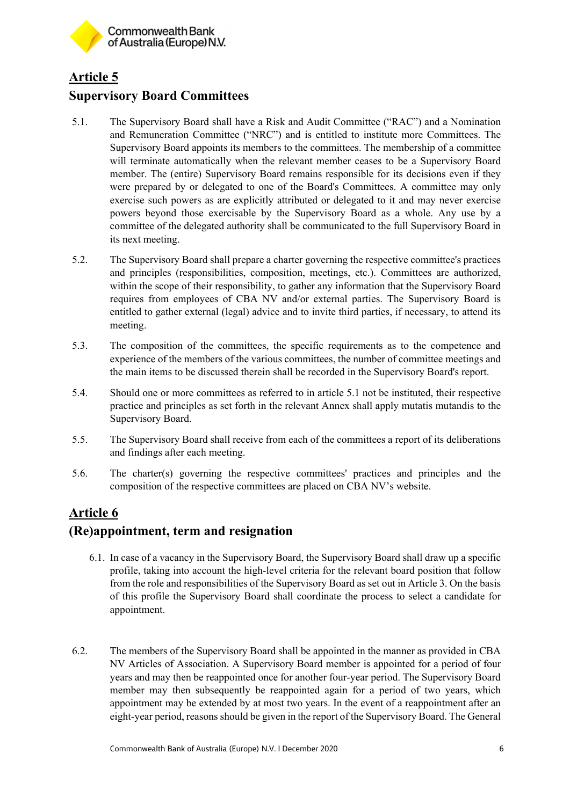

### **Article 5 Supervisory Board Committees**

- 5.1. The Supervisory Board shall have a Risk and Audit Committee ("RAC") and a Nomination and Remuneration Committee ("NRC") and is entitled to institute more Committees. The Supervisory Board appoints its members to the committees. The membership of a committee will terminate automatically when the relevant member ceases to be a Supervisory Board member. The (entire) Supervisory Board remains responsible for its decisions even if they were prepared by or delegated to one of the Board's Committees. A committee may only exercise such powers as are explicitly attributed or delegated to it and may never exercise powers beyond those exercisable by the Supervisory Board as a whole. Any use by a committee of the delegated authority shall be communicated to the full Supervisory Board in its next meeting.
- 5.2. The Supervisory Board shall prepare a charter governing the respective committee's practices and principles (responsibilities, composition, meetings, etc.). Committees are authorized, within the scope of their responsibility, to gather any information that the Supervisory Board requires from employees of CBA NV and/or external parties. The Supervisory Board is entitled to gather external (legal) advice and to invite third parties, if necessary, to attend its meeting.
- 5.3. The composition of the committees, the specific requirements as to the competence and experience of the members of the various committees, the number of committee meetings and the main items to be discussed therein shall be recorded in the Supervisory Board's report.
- 5.4. Should one or more committees as referred to in article 5.1 not be instituted, their respective practice and principles as set forth in the relevant Annex shall apply mutatis mutandis to the Supervisory Board.
- 5.5. The Supervisory Board shall receive from each of the committees a report of its deliberations and findings after each meeting.
- 5.6. The charter(s) governing the respective committees' practices and principles and the composition of the respective committees are placed on CBA NV's website.

### **Article 6**

#### **(Re)appointment, term and resignation**

- 6.1. In case of a vacancy in the Supervisory Board, the Supervisory Board shall draw up a specific profile, taking into account the high-level criteria for the relevant board position that follow from the role and responsibilities of the Supervisory Board as set out in Article 3. On the basis of this profile the Supervisory Board shall coordinate the process to select a candidate for appointment.
- 6.2. The members of the Supervisory Board shall be appointed in the manner as provided in CBA NV Articles of Association. A Supervisory Board member is appointed for a period of four years and may then be reappointed once for another four-year period. The Supervisory Board member may then subsequently be reappointed again for a period of two years, which appointment may be extended by at most two years. In the event of a reappointment after an eight-year period, reasons should be given in the report of the Supervisory Board. The General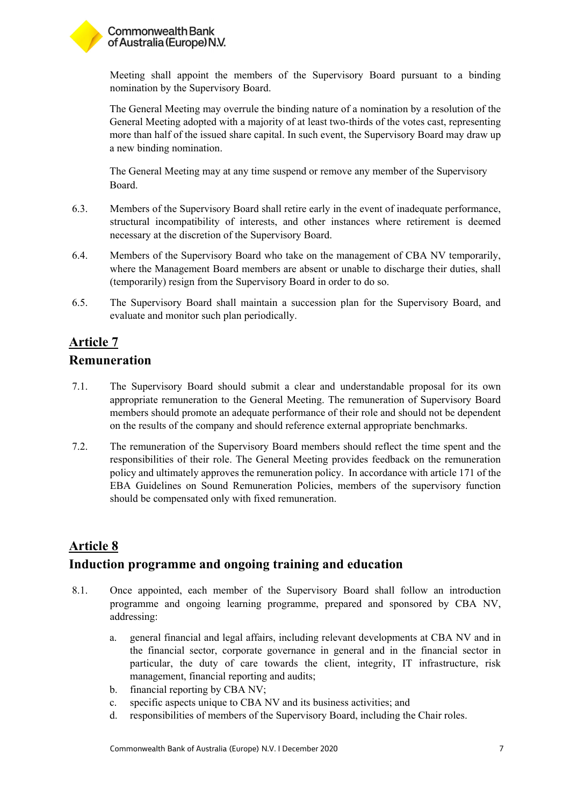

Meeting shall appoint the members of the Supervisory Board pursuant to a binding nomination by the Supervisory Board.

The General Meeting may overrule the binding nature of a nomination by a resolution of the General Meeting adopted with a majority of at least two-thirds of the votes cast, representing more than half of the issued share capital. In such event, the Supervisory Board may draw up a new binding nomination.

The General Meeting may at any time suspend or remove any member of the Supervisory Board.

- 6.3. Members of the Supervisory Board shall retire early in the event of inadequate performance, structural incompatibility of interests, and other instances where retirement is deemed necessary at the discretion of the Supervisory Board.
- 6.4. Members of the Supervisory Board who take on the management of CBA NV temporarily, where the Management Board members are absent or unable to discharge their duties, shall (temporarily) resign from the Supervisory Board in order to do so.
- 6.5. The Supervisory Board shall maintain a succession plan for the Supervisory Board, and evaluate and monitor such plan periodically.

# **Article 7**

#### **Remuneration**

- 7.1. The Supervisory Board should submit a clear and understandable proposal for its own appropriate remuneration to the General Meeting. The remuneration of Supervisory Board members should promote an adequate performance of their role and should not be dependent on the results of the company and should reference external appropriate benchmarks.
- 7.2. The remuneration of the Supervisory Board members should reflect the time spent and the responsibilities of their role. The General Meeting provides feedback on the remuneration policy and ultimately approves the remuneration policy. In accordance with article 171 of the EBA Guidelines on Sound Remuneration Policies, members of the supervisory function should be compensated only with fixed remuneration.

### **Article 8**

### **Induction programme and ongoing training and education**

- 8.1. Once appointed, each member of the Supervisory Board shall follow an introduction programme and ongoing learning programme, prepared and sponsored by CBA NV, addressing:
	- a. general financial and legal affairs, including relevant developments at CBA NV and in the financial sector, corporate governance in general and in the financial sector in particular, the duty of care towards the client, integrity, IT infrastructure, risk management, financial reporting and audits;
	- b. financial reporting by CBA NV;
	- c. specific aspects unique to CBA NV and its business activities; and
	- d. responsibilities of members of the Supervisory Board, including the Chair roles.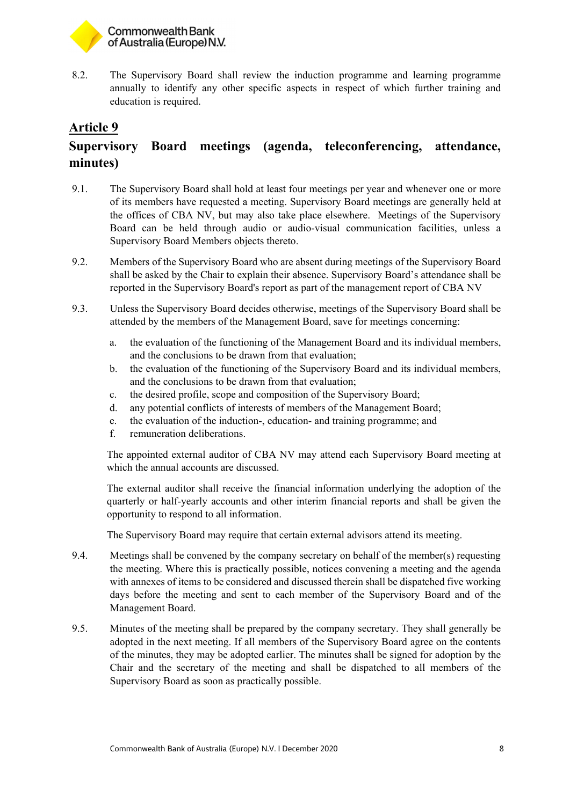

8.2. The Supervisory Board shall review the induction programme and learning programme annually to identify any other specific aspects in respect of which further training and education is required.

#### **Article 9**

# **Supervisory Board meetings (agenda, teleconferencing, attendance, minutes)**

- 9.1. The Supervisory Board shall hold at least four meetings per year and whenever one or more of its members have requested a meeting. Supervisory Board meetings are generally held at the offices of CBA NV, but may also take place elsewhere. Meetings of the Supervisory Board can be held through audio or audio-visual communication facilities, unless a Supervisory Board Members objects thereto.
- 9.2. Members of the Supervisory Board who are absent during meetings of the Supervisory Board shall be asked by the Chair to explain their absence. Supervisory Board's attendance shall be reported in the Supervisory Board's report as part of the management report of CBA NV
- 9.3. Unless the Supervisory Board decides otherwise, meetings of the Supervisory Board shall be attended by the members of the Management Board, save for meetings concerning:
	- a. the evaluation of the functioning of the Management Board and its individual members, and the conclusions to be drawn from that evaluation;
	- b. the evaluation of the functioning of the Supervisory Board and its individual members, and the conclusions to be drawn from that evaluation;
	- c. the desired profile, scope and composition of the Supervisory Board;
	- d. any potential conflicts of interests of members of the Management Board;
	- e. the evaluation of the induction-, education- and training programme; and
	- f. remuneration deliberations.

The appointed external auditor of CBA NV may attend each Supervisory Board meeting at which the annual accounts are discussed.

The external auditor shall receive the financial information underlying the adoption of the quarterly or half-yearly accounts and other interim financial reports and shall be given the opportunity to respond to all information.

The Supervisory Board may require that certain external advisors attend its meeting.

- 9.4. Meetings shall be convened by the company secretary on behalf of the member(s) requesting the meeting. Where this is practically possible, notices convening a meeting and the agenda with annexes of items to be considered and discussed therein shall be dispatched five working days before the meeting and sent to each member of the Supervisory Board and of the Management Board.
- 9.5. Minutes of the meeting shall be prepared by the company secretary. They shall generally be adopted in the next meeting. If all members of the Supervisory Board agree on the contents of the minutes, they may be adopted earlier. The minutes shall be signed for adoption by the Chair and the secretary of the meeting and shall be dispatched to all members of the Supervisory Board as soon as practically possible.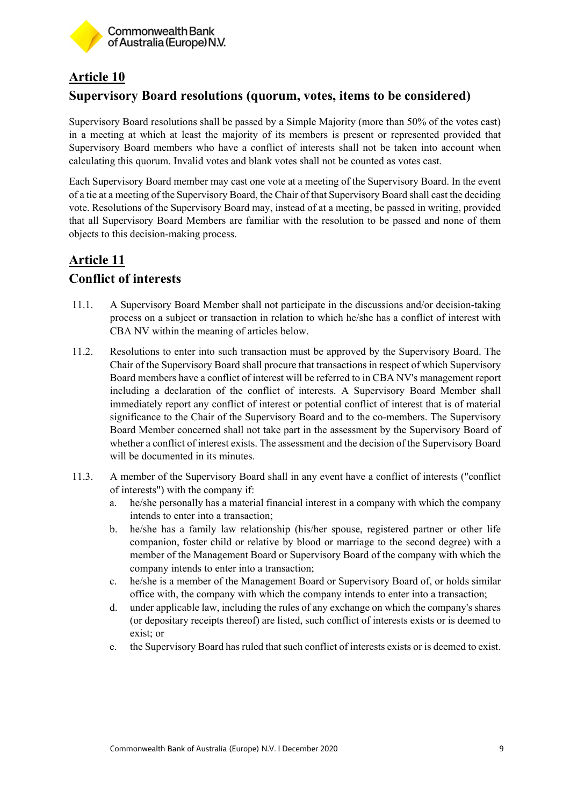

### **Article 10 Supervisory Board resolutions (quorum, votes, items to be considered)**

Supervisory Board resolutions shall be passed by a Simple Majority (more than 50% of the votes cast) in a meeting at which at least the majority of its members is present or represented provided that Supervisory Board members who have a conflict of interests shall not be taken into account when calculating this quorum. Invalid votes and blank votes shall not be counted as votes cast.

Each Supervisory Board member may cast one vote at a meeting of the Supervisory Board. In the event of a tie at a meeting of the Supervisory Board, the Chair of that Supervisory Board shall cast the deciding vote. Resolutions of the Supervisory Board may, instead of at a meeting, be passed in writing, provided that all Supervisory Board Members are familiar with the resolution to be passed and none of them objects to this decision-making process.

# **Article 11 Conflict of interests**

- 11.1. A Supervisory Board Member shall not participate in the discussions and/or decision-taking process on a subject or transaction in relation to which he/she has a conflict of interest with CBA NV within the meaning of articles below.
- 11.2. Resolutions to enter into such transaction must be approved by the Supervisory Board. The Chair of the Supervisory Board shall procure that transactions in respect of which Supervisory Board members have a conflict of interest will be referred to in CBA NV's management report including a declaration of the conflict of interests. A Supervisory Board Member shall immediately report any conflict of interest or potential conflict of interest that is of material significance to the Chair of the Supervisory Board and to the co-members. The Supervisory Board Member concerned shall not take part in the assessment by the Supervisory Board of whether a conflict of interest exists. The assessment and the decision of the Supervisory Board will be documented in its minutes.
- 11.3. A member of the Supervisory Board shall in any event have a conflict of interests ("conflict of interests") with the company if:
	- a. he/she personally has a material financial interest in a company with which the company intends to enter into a transaction;
	- b. he/she has a family law relationship (his/her spouse, registered partner or other life companion, foster child or relative by blood or marriage to the second degree) with a member of the Management Board or Supervisory Board of the company with which the company intends to enter into a transaction;
	- c. he/she is a member of the Management Board or Supervisory Board of, or holds similar office with, the company with which the company intends to enter into a transaction;
	- d. under applicable law, including the rules of any exchange on which the company's shares (or depositary receipts thereof) are listed, such conflict of interests exists or is deemed to exist; or
	- e. the Supervisory Board has ruled that such conflict of interests exists or is deemed to exist.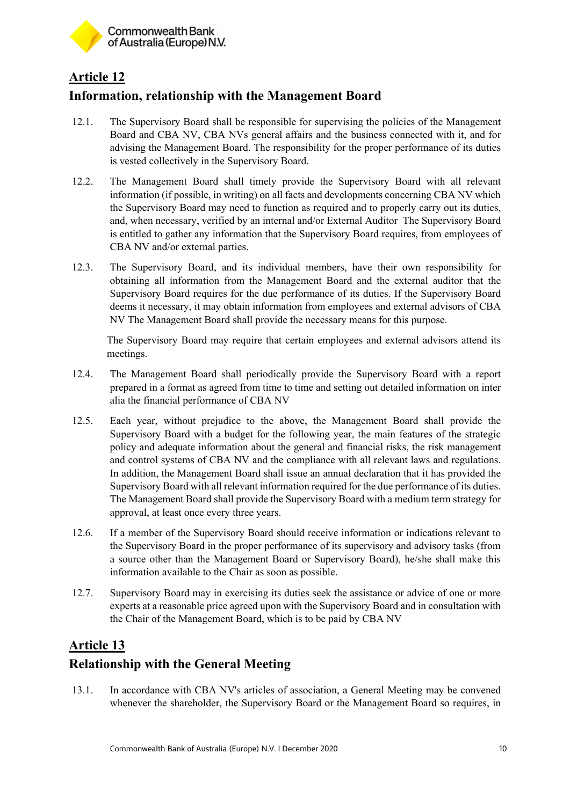

# **Article 12**

# **Information, relationship with the Management Board**

- 12.1. The Supervisory Board shall be responsible for supervising the policies of the Management Board and CBA NV, CBA NVs general affairs and the business connected with it, and for advising the Management Board. The responsibility for the proper performance of its duties is vested collectively in the Supervisory Board.
- 12.2. The Management Board shall timely provide the Supervisory Board with all relevant information (if possible, in writing) on all facts and developments concerning CBA NV which the Supervisory Board may need to function as required and to properly carry out its duties, and, when necessary, verified by an internal and/or External Auditor The Supervisory Board is entitled to gather any information that the Supervisory Board requires, from employees of CBA NV and/or external parties.
- 12.3. The Supervisory Board, and its individual members, have their own responsibility for obtaining all information from the Management Board and the external auditor that the Supervisory Board requires for the due performance of its duties. If the Supervisory Board deems it necessary, it may obtain information from employees and external advisors of CBA NV The Management Board shall provide the necessary means for this purpose.

The Supervisory Board may require that certain employees and external advisors attend its meetings.

- 12.4. The Management Board shall periodically provide the Supervisory Board with a report prepared in a format as agreed from time to time and setting out detailed information on inter alia the financial performance of CBA NV
- 12.5. Each year, without prejudice to the above, the Management Board shall provide the Supervisory Board with a budget for the following year, the main features of the strategic policy and adequate information about the general and financial risks, the risk management and control systems of CBA NV and the compliance with all relevant laws and regulations. In addition, the Management Board shall issue an annual declaration that it has provided the Supervisory Board with all relevant information required for the due performance of its duties. The Management Board shall provide the Supervisory Board with a medium term strategy for approval, at least once every three years.
- 12.6. If a member of the Supervisory Board should receive information or indications relevant to the Supervisory Board in the proper performance of its supervisory and advisory tasks (from a source other than the Management Board or Supervisory Board), he/she shall make this information available to the Chair as soon as possible.
- 12.7. Supervisory Board may in exercising its duties seek the assistance or advice of one or more experts at a reasonable price agreed upon with the Supervisory Board and in consultation with the Chair of the Management Board, which is to be paid by CBA NV

# **Article 13**

# **Relationship with the General Meeting**

13.1. In accordance with CBA NV's articles of association, a General Meeting may be convened whenever the shareholder, the Supervisory Board or the Management Board so requires, in